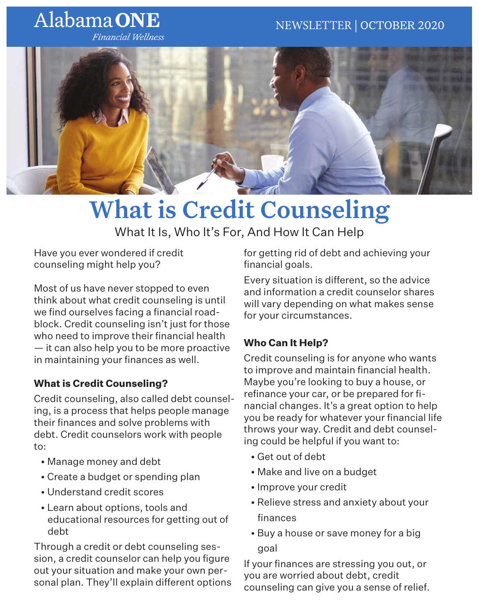## Alabama ONE

**Financial Wellness** 



# What is Credit Counseling

What It Is, Who It's For, And How It Can Help

Have you ever wondered if credit counseling might help you?

Most of us have never stopped to even think about what credit counseling is until we find ourselves facing a financial roadblock. Credit counseling isn't just for those who need to improve their financial health — it can also help you to be more proactive in maintaining your finances as well.

#### **What is Credit Counseling?**

Credit counseling, also called debt counseling, is a process that helps people manage their finances and solve problems with debt. Credit counselors work with people to:

- Manage money and debt
- Create a budget or spending plan
- Understand credit scores
- Learn about options, tools and educational resources for getting out of debt

Through a credit or debt counseling session, a credit counselor can help you figure out your situation and make your own personal plan. They'll explain different options for getting rid of debt and achieving your financial goals.

Every situation is different, so the advice and information a credit counselor shares will vary depending on what makes sense for your circumstances.

#### **Who Can It Help?**

Credit counseling is for anyone who wants to improve and maintain financial health. Maybe you're looking to buy a house, or refinance your car, or be prepared for financial changes. It's a great option to help you be ready for whatever your financial life throws your way. Credit and debt counseling could be helpful if you want to:

- Get out of debt
- Make and live on a budget
- Improve your credit
- Relieve stress and anxiety about your finances
- Buy a house or save money for a big goal

If your finances are stressing you out, or you are worried about debt, credit counseling can give you a sense of relief.